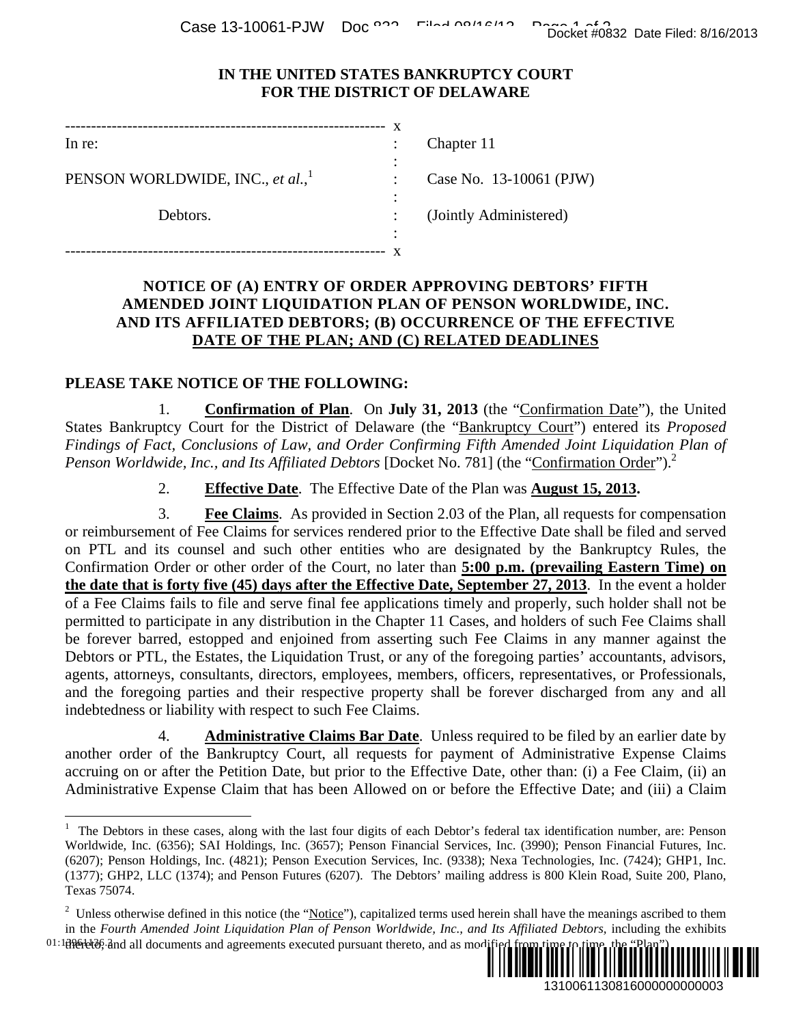Case 13-10061-PJW Doc  $\frac{12.368832}{20.012613}$  Docket #0832 Date Filed: 8/16/2013

## **IN THE UNITED STATES BANKRUPTCY COURT FOR THE DISTRICT OF DELAWARE**

| In re:                                       | Chapter 11  |
|----------------------------------------------|-------------|
|                                              |             |
| PENSON WORLDWIDE, INC., et al., <sup>1</sup> | Case No. 1  |
|                                              |             |
| Debtors.                                     | (Jointly Ad |
|                                              |             |
|                                              |             |

No. 13-10061 (PJW)

ly Administered)

## **NOTICE OF (A) ENTRY OF ORDER APPROVING DEBTORS' FIFTH AMENDED JOINT LIQUIDATION PLAN OF PENSON WORLDWIDE, INC. AND ITS AFFILIATED DEBTORS; (B) OCCURRENCE OF THE EFFECTIVE DATE OF THE PLAN; AND (C) RELATED DEADLINES**

## **PLEASE TAKE NOTICE OF THE FOLLOWING:**

1. **Confirmation of Plan**. On **July 31, 2013** (the "Confirmation Date"), the United States Bankruptcy Court for the District of Delaware (the "Bankruptcy Court") entered its *Proposed Findings of Fact, Conclusions of Law, and Order Confirming Fifth Amended Joint Liquidation Plan of Penson Worldwide, Inc., and Its Affiliated Debtors [Docket No. 781] (the "Confirmation Order").*<sup>2</sup>

2. **Effective Date**. The Effective Date of the Plan was **August 15, 2013.**

3. **Fee Claims**.As provided in Section 2.03 of the Plan, all requests for compensation or reimbursement of Fee Claims for services rendered prior to the Effective Date shall be filed and served on PTL and its counsel and such other entities who are designated by the Bankruptcy Rules, the Confirmation Order or other order of the Court, no later than **5:00 p.m. (prevailing Eastern Time) on the date that is forty five (45) days after the Effective Date, September 27, 2013**. In the event a holder of a Fee Claims fails to file and serve final fee applications timely and properly, such holder shall not be permitted to participate in any distribution in the Chapter 11 Cases, and holders of such Fee Claims shall be forever barred, estopped and enjoined from asserting such Fee Claims in any manner against the Debtors or PTL, the Estates, the Liquidation Trust, or any of the foregoing parties' accountants, advisors, agents, attorneys, consultants, directors, employees, members, officers, representatives, or Professionals, and the foregoing parties and their respective property shall be forever discharged from any and all indebtedness or liability with respect to such Fee Claims. Docket #0832 Date Filed: 8/16/2013<br>
URT<br>
1 (PJW)<br>
TCRS' FIFTH<br>
FREDWIDE, INC.<br>
THE EFFECTIVE<br>
THE EFFECTIVE<br>
DLINES<br>
1000011 *Liquidation Plan of*<br>
<u>Docter</u>') entered its *Proposed*<br>
on *Liquidation Plan of*<br>
on *Liquidati* 

4. **Administrative Claims Bar Date**. Unless required to be filed by an earlier date by another order of the Bankruptcy Court, all requests for payment of Administrative Expense Claims accruing on or after the Petition Date, but prior to the Effective Date, other than: (i) a Fee Claim, (ii) an Administrative Expense Claim that has been Allowed on or before the Effective Date; and (iii) a Claim

<sup>01:18961666;</sup> and all documents and agreements executed pursuant thereto, and as modified from time to time, the "Plan").



<sup>&</sup>lt;sup>1</sup> The Debtors in these cases, along with the last four digits of each Debtor's federal tax identification number, are: Penson Worldwide, Inc. (6356); SAI Holdings, Inc. (3657); Penson Financial Services, Inc. (3990); Penson Financial Futures, Inc. (6207); Penson Holdings, Inc. (4821); Penson Execution Services, Inc. (9338); Nexa Technologies, Inc. (7424); GHP1, Inc. (1377); GHP2, LLC (1374); and Penson Futures (6207). The Debtors' mailing address is 800 Klein Road, Suite 200, Plano, Texas 75074.

<sup>&</sup>lt;sup>2</sup> Unless otherwise defined in this notice (the "Notice"), capitalized terms used herein shall have the meanings ascribed to them in the *Fourth Amended Joint Liquidation Plan of Penson Worldwide, Inc., and Its Affiliated Debtors, including the exhibits*